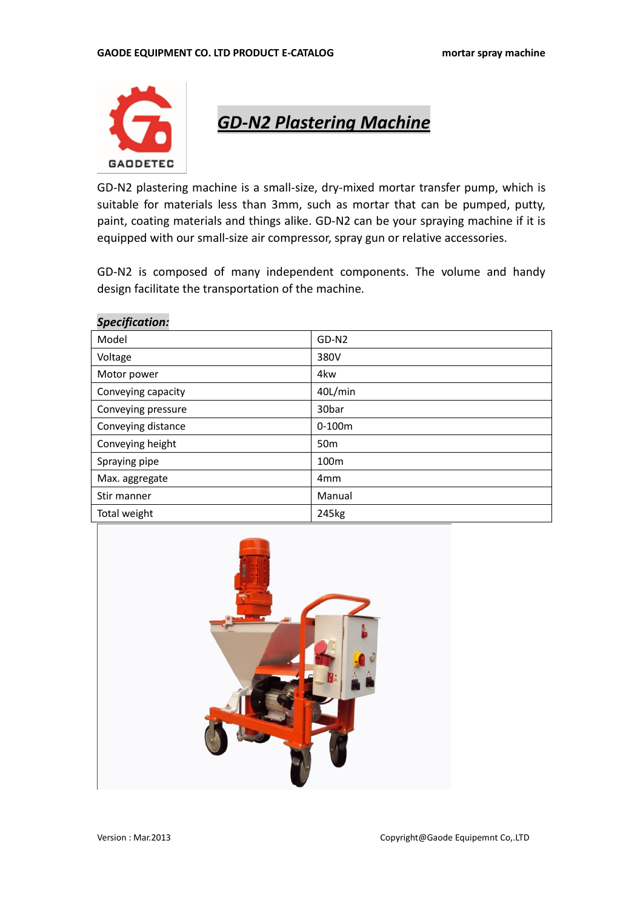

*GD-N2 Plastering Machine*

GD-N2 plastering machine is a small-size, dry-mixed mortar transfer pump, which is suitable for materials less than 3mm, such as mortar that can be pumped, putty, paint, coating materials and things alike. GD-N2 can be your spraying machine if it is equipped with our small-size air compressor, spray gun or relative accessories.

GD-N2 is composed of many independent components. The volume and handy design facilitate the transportation of the machine.

| Model              | GD-N <sub>2</sub>  |
|--------------------|--------------------|
| Voltage            | 380V               |
| Motor power        | 4kw                |
| Conveying capacity | 40L/min            |
| Conveying pressure | 30 <sub>b</sub> ar |
| Conveying distance | $0-100m$           |
| Conveying height   | 50 <sub>m</sub>    |
| Spraying pipe      | 100 <sub>m</sub>   |
| Max. aggregate     | 4 <sub>mm</sub>    |
| Stir manner        | Manual             |
| Total weight       | 245kg              |

#### *Specification:*

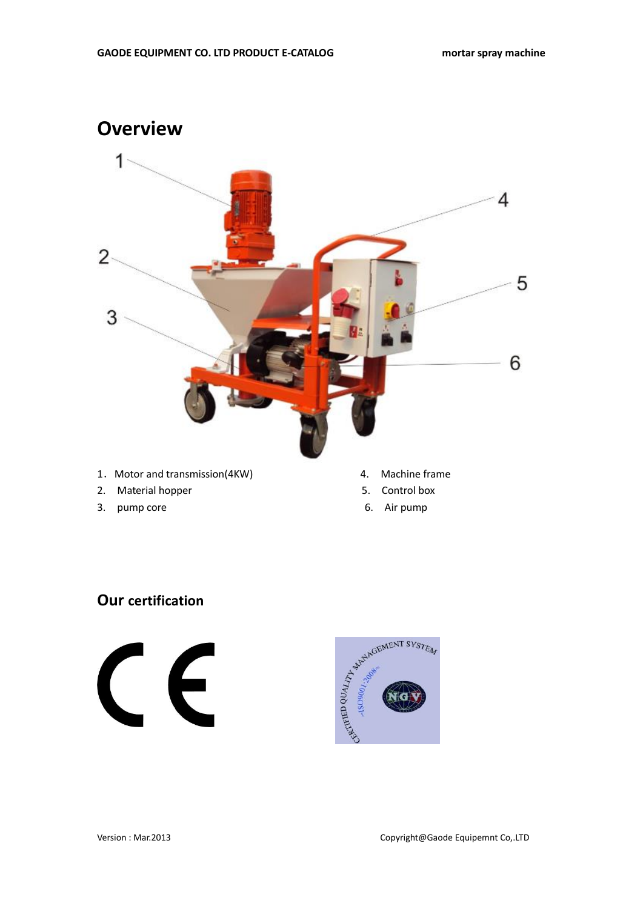

- 3. pump core 6. Air pump
	-

## **Our certification**



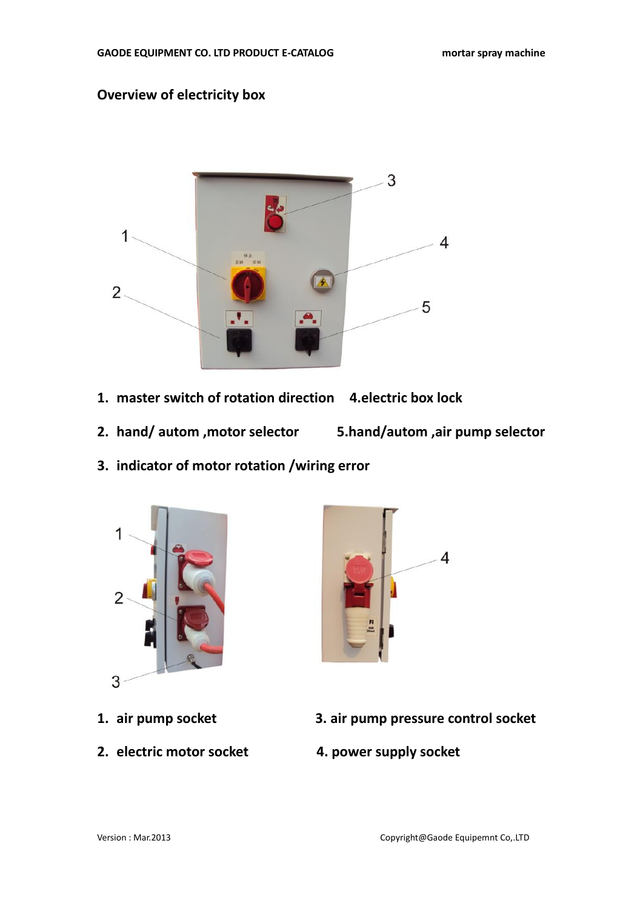## **Overview of electricity box**



- **1. master switch of rotation direction 4.electric box lock**
- **2. hand/ autom ,motor selector 5.hand/autom ,air pump selector**
	-
- **3. indicator of motor rotation /wiring error**





- 
- **2. electric motor socket 4. power supply socket**
- **1. air pump socket 3. air pump pressure control socket**
	-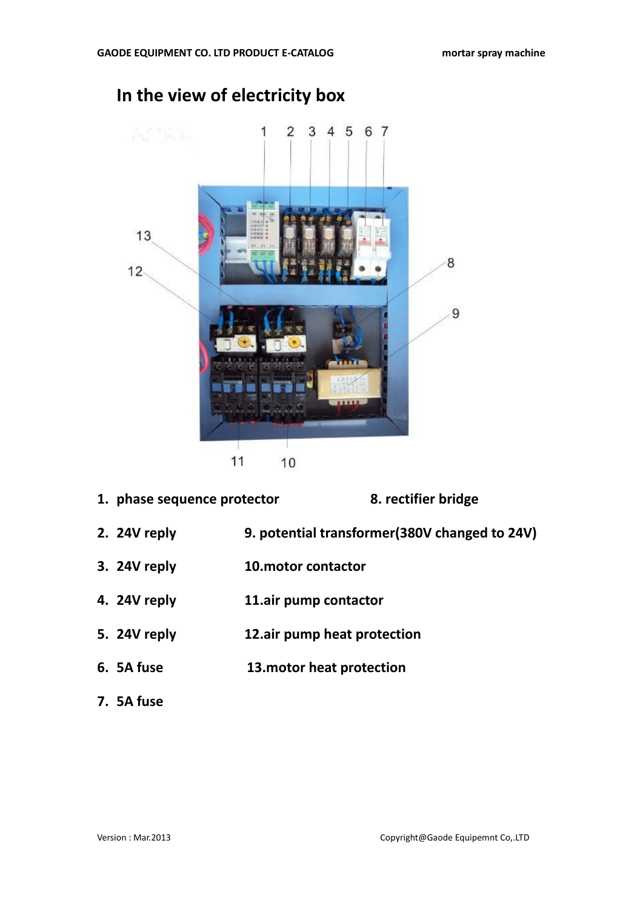

## **In the view of electricity box**

- **1. phase sequence protector 8. rectifier bridge 2. 24V reply 9. potential transformer(380V changed to 24V) 3. 24V reply 10.motor contactor 4. 24V reply 11.air pump contactor 5. 24V reply 12.air pump heat protection 6. 5A fuse 13.motor heat protection**
- **7. 5A fuse**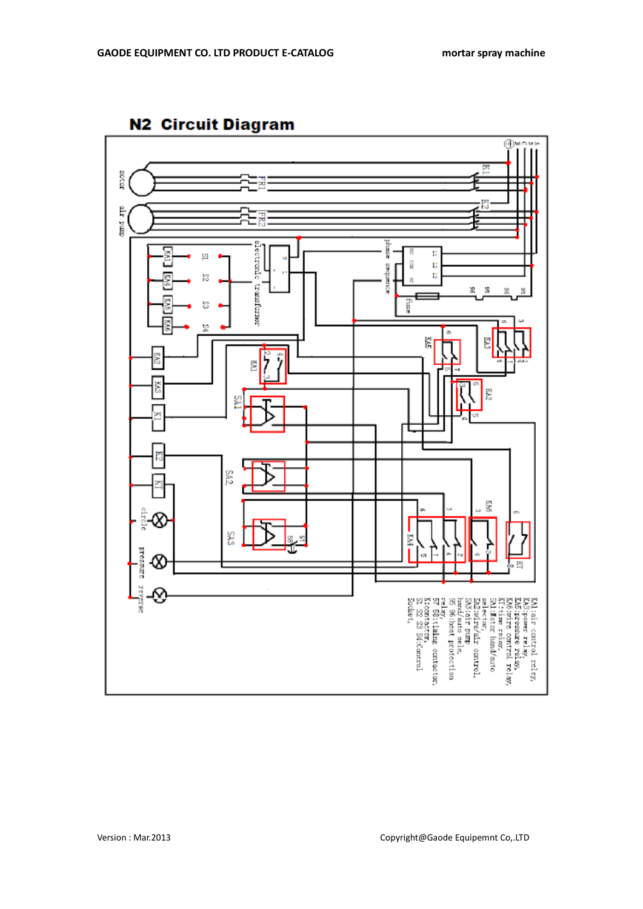

## **N2 Circuit Diagram**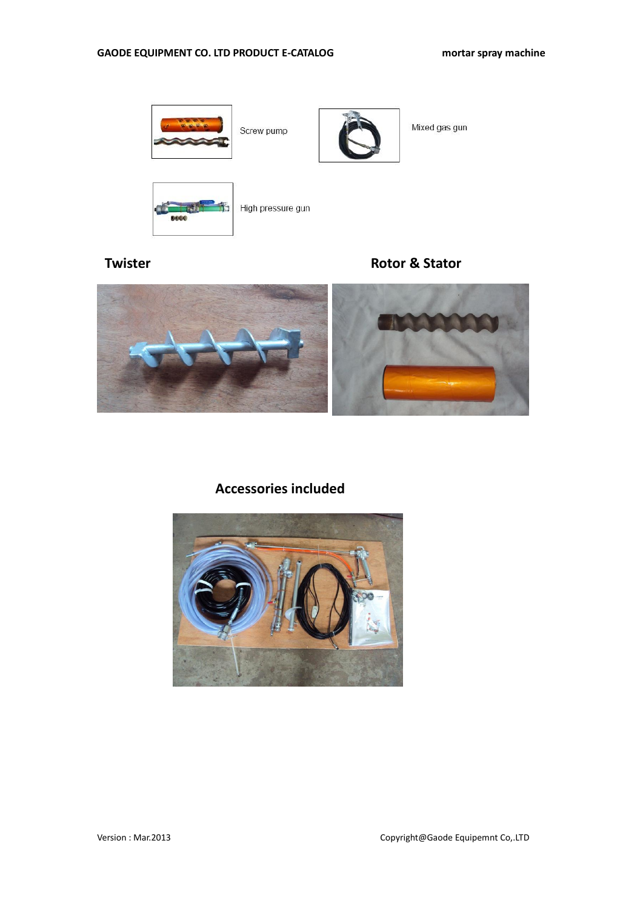

**Twister Contract Contract Contract Contract Contract Contract Contract Contract Contract Contract Contract Contract Contract Contract Contract Contract Contract Contract Contract Contract Contract Contract Contract Contra** 



## **Accessories included**